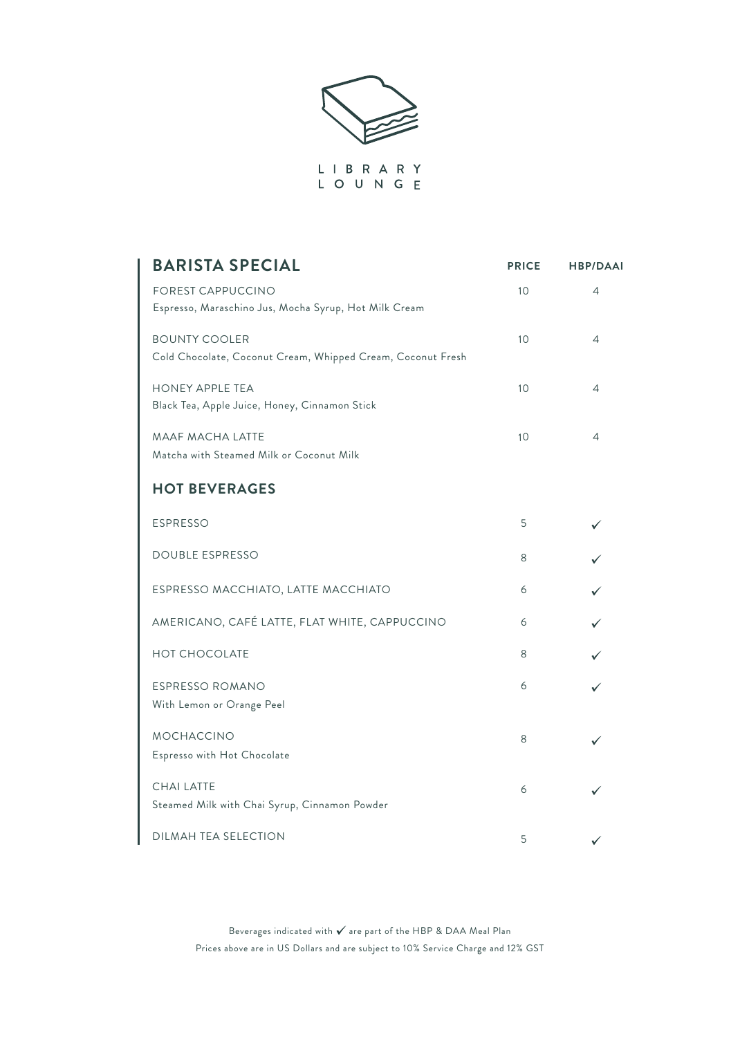

| <b>BARISTA SPECIAL</b>                                                              | <b>PRICE</b> | <b>HBP/DAAI</b> |
|-------------------------------------------------------------------------------------|--------------|-----------------|
| <b>FOREST CAPPUCCINO</b><br>Espresso, Maraschino Jus, Mocha Syrup, Hot Milk Cream   | 10           | 4               |
| <b>BOUNTY COOLER</b><br>Cold Chocolate, Coconut Cream, Whipped Cream, Coconut Fresh | 10           | 4               |
| <b>HONEY APPLE TEA</b><br>Black Tea, Apple Juice, Honey, Cinnamon Stick             | 10           | 4               |
| <b>MAAF MACHA LATTE</b><br>Matcha with Steamed Milk or Coconut Milk                 | 10           | 4               |
| <b>HOT BEVERAGES</b>                                                                |              |                 |
| <b>ESPRESSO</b>                                                                     | 5            |                 |
| <b>DOUBLE ESPRESSO</b>                                                              | 8            |                 |
| ESPRESSO MACCHIATO, LATTE MACCHIATO                                                 | 6            |                 |
| AMERICANO, CAFÉ LATTE, FLAT WHITE, CAPPUCCINO                                       | 6            |                 |
| <b>HOT CHOCOLATE</b>                                                                | 8            |                 |
| ESPRESSO ROMANO<br>With Lemon or Orange Peel                                        | 6            |                 |
| <b>MOCHACCINO</b><br>Espresso with Hot Chocolate                                    | 8            |                 |
| <b>CHAI LATTE</b><br>Steamed Milk with Chai Syrup, Cinnamon Powder                  | 6            |                 |
| DILMAH TEA SELECTION                                                                | 5            | ✓               |

Beverages indicated with  $\checkmark$  are part of the HBP & DAA Meal Plan Prices above are in US Dollars and are subject to 10% Service Charge and 12% GST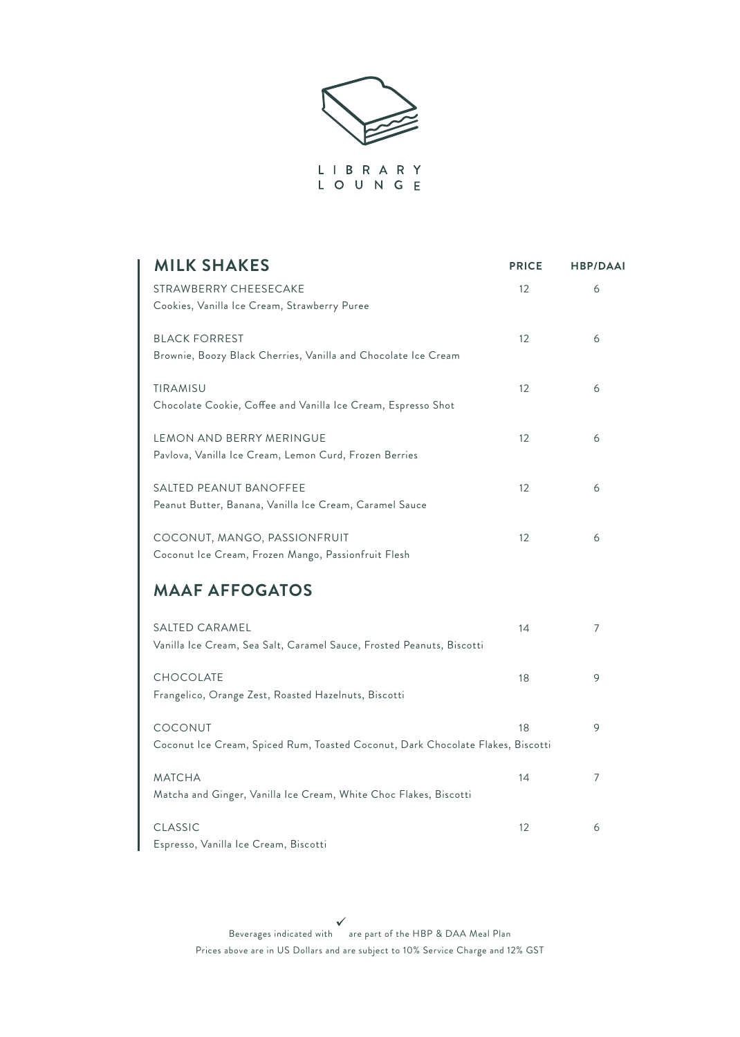

L O U N G E

| <b>MILK SHAKES</b>                                                                         | <b>PRICE</b> | <b>HBP/DAAI</b> |
|--------------------------------------------------------------------------------------------|--------------|-----------------|
| STRAWBERRY CHEESECAKE<br>Cookies, Vanilla Ice Cream, Strawberry Puree                      | 12           | 6               |
| <b>BLACK FORREST</b><br>Brownie, Boozy Black Cherries, Vanilla and Chocolate Ice Cream     | 12           | 6               |
| TIRAMISU<br>Chocolate Cookie, Coffee and Vanilla Ice Cream, Espresso Shot                  | 12           | 6               |
| LEMON AND BERRY MERINGUE<br>Pavlova, Vanilla Ice Cream, Lemon Curd, Frozen Berries         | 12           | 6               |
| <b>SALTED PEANUT BANOFFEE</b><br>Peanut Butter, Banana, Vanilla Ice Cream, Caramel Sauce   | 12           | 6               |
| COCONUT, MANGO, PASSIONFRUIT<br>Coconut Ice Cream, Frozen Mango, Passionfruit Flesh        | 12           | 6               |
| <b>MAAF AFFOGATOS</b>                                                                      |              |                 |
| SALTED CARAMEL<br>Vanilla Ice Cream, Sea Salt, Caramel Sauce, Frosted Peanuts, Biscotti    | 14           | 7               |
| <b>CHOCOLATE</b><br>Frangelico, Orange Zest, Roasted Hazelnuts, Biscotti                   | 18           | 9               |
| COCONUT<br>Coconut Ice Cream, Spiced Rum, Toasted Coconut, Dark Chocolate Flakes, Biscotti | 18           | 9               |
| <b>MATCHA</b><br>Matcha and Ginger, Vanilla Ice Cream, White Choc Flakes, Biscotti         | 14           | 7               |
| CLASSIC<br>Espresso, Vanilla Ice Cream, Biscotti                                           | 12           | 6               |

 $\begin{array}{c} \bigvee \\ \bullet \\ \bullet \end{array}$  Beverages indicated with are part of the HBP & DAA Meal Plan Prices above are in US Dollars and are subject to 10% Service Charge and 12% GST